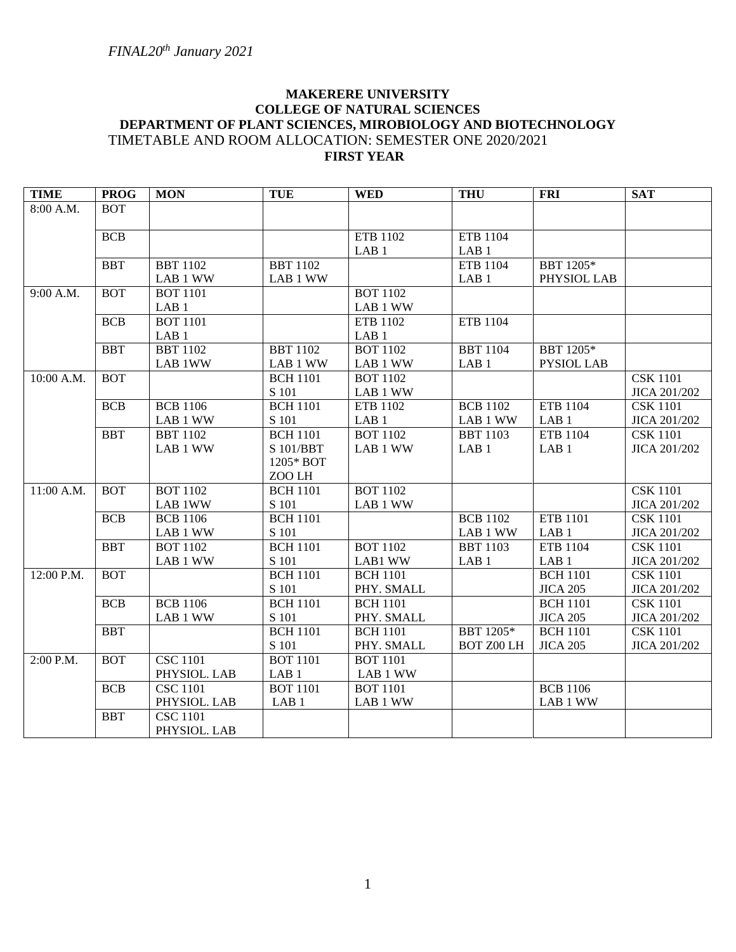# **MAKERERE UNIVERSITY COLLEGE OF NATURAL SCIENCES DEPARTMENT OF PLANT SCIENCES, MIROBIOLOGY AND BIOTECHNOLOGY** TIMETABLE AND ROOM ALLOCATION: SEMESTER ONE 2020/2021 **FIRST YEAR**

| <b>TIME</b> | <b>PROG</b> | <b>MON</b>       | <b>TUE</b>       | <b>WED</b>       | <b>THU</b>        | <b>FRI</b>        | <b>SAT</b>          |
|-------------|-------------|------------------|------------------|------------------|-------------------|-------------------|---------------------|
| 8:00 A.M.   | <b>BOT</b>  |                  |                  |                  |                   |                   |                     |
|             |             |                  |                  |                  |                   |                   |                     |
|             | <b>BCB</b>  |                  |                  | ETB 1102         | ETB 1104          |                   |                     |
|             |             |                  |                  | LAB <sub>1</sub> | LAB <sub>1</sub>  |                   |                     |
|             | <b>BBT</b>  | <b>BBT</b> 1102  | <b>BBT</b> 1102  |                  | <b>ETB 1104</b>   | BBT 1205*         |                     |
|             |             | LAB 1 WW         | LAB 1 WW         |                  | LAB <sub>1</sub>  | PHYSIOL LAB       |                     |
| 9:00 A.M.   | <b>BOT</b>  | <b>BOT 1101</b>  |                  | <b>BOT 1102</b>  |                   |                   |                     |
|             |             | LAB <sub>1</sub> |                  | LAB 1 WW         |                   |                   |                     |
|             | <b>BCB</b>  | <b>BOT 1101</b>  |                  | ETB 1102         | ETB 1104          |                   |                     |
|             |             | LAB <sub>1</sub> |                  | LAB <sub>1</sub> |                   |                   |                     |
|             | <b>BBT</b>  | <b>BBT</b> 1102  | <b>BBT 1102</b>  | <b>BOT</b> 1102  | <b>BBT 1104</b>   | BBT 1205*         |                     |
|             |             | LAB 1WW          | LAB 1 WW         | LAB 1 WW         | LAB <sub>1</sub>  | <b>PYSIOL LAB</b> |                     |
| 10:00 A.M.  | <b>BOT</b>  |                  | <b>BCH 1101</b>  | <b>BOT 1102</b>  |                   |                   | <b>CSK 1101</b>     |
|             |             |                  | S 101            | LAB 1 WW         |                   |                   | JICA 201/202        |
|             | <b>BCB</b>  | <b>BCB</b> 1106  | <b>BCH</b> 1101  | ETB 1102         | <b>BCB</b> 1102   | ETB 1104          | <b>CSK 1101</b>     |
|             |             | LAB 1 WW         | S 101            | LAB <sub>1</sub> | LAB 1 WW          | LAB <sub>1</sub>  | JICA 201/202        |
|             | <b>BBT</b>  | <b>BBT</b> 1102  | <b>BCH 1101</b>  | <b>BOT 1102</b>  | <b>BBT 1103</b>   | ETB 1104          | <b>CSK</b> 1101     |
|             |             | LAB 1 WW         | S 101/BBT        | LAB 1 WW         | LAB <sub>1</sub>  | LAB <sub>1</sub>  | JICA 201/202        |
|             |             |                  | 1205* BOT        |                  |                   |                   |                     |
|             |             |                  | ZOO LH           |                  |                   |                   |                     |
| 11:00 A.M.  | <b>BOT</b>  | <b>BOT 1102</b>  | <b>BCH 1101</b>  | <b>BOT 1102</b>  |                   |                   | <b>CSK 1101</b>     |
|             |             | LAB 1WW          | S 101            | LAB 1 WW         |                   |                   | JICA 201/202        |
|             | <b>BCB</b>  | <b>BCB</b> 1106  | <b>BCH 1101</b>  |                  | <b>BCB</b> 1102   | <b>ETB 1101</b>   | <b>CSK 1101</b>     |
|             |             | LAB 1 WW         | S 101            |                  | LAB 1 WW          | LAB <sub>1</sub>  | JICA 201/202        |
|             | <b>BBT</b>  | <b>BOT 1102</b>  | <b>BCH 1101</b>  | <b>BOT 1102</b>  | <b>BBT 1103</b>   | ETB 1104          | <b>CSK 1101</b>     |
|             |             | LAB 1 WW         | S 101            | LAB1 WW          | LAB <sub>1</sub>  | LAB <sub>1</sub>  | JICA 201/202        |
| 12:00 P.M.  | <b>BOT</b>  |                  | <b>BCH</b> 1101  | <b>BCH 1101</b>  |                   | <b>BCH 1101</b>   | <b>CSK 1101</b>     |
|             |             |                  | S 101            | PHY. SMALL       |                   | <b>JICA 205</b>   | JICA 201/202        |
|             | <b>BCB</b>  | <b>BCB</b> 1106  | <b>BCH 1101</b>  | <b>BCH 1101</b>  |                   | <b>BCH 1101</b>   | <b>CSK 1101</b>     |
|             |             | LAB 1 WW         | S 101            | PHY. SMALL       |                   | <b>JICA 205</b>   | JICA 201/202        |
|             | <b>BBT</b>  |                  | <b>BCH</b> 1101  | <b>BCH 1101</b>  | BBT 1205*         | <b>BCH 1101</b>   | <b>CSK</b> 1101     |
|             |             |                  | S 101            | PHY. SMALL       | <b>BOT Z00 LH</b> | <b>JICA 205</b>   | <b>JICA 201/202</b> |
| 2:00 P.M.   | <b>BOT</b>  | <b>CSC 1101</b>  | <b>BOT 1101</b>  | <b>BOT 1101</b>  |                   |                   |                     |
|             |             | PHYSIOL. LAB     | LAB <sub>1</sub> | LAB 1 WW         |                   |                   |                     |
|             | <b>BCB</b>  | <b>CSC 1101</b>  | <b>BOT 1101</b>  | <b>BOT 1101</b>  |                   | <b>BCB</b> 1106   |                     |
|             |             | PHYSIOL. LAB     | LAB <sub>1</sub> | LAB 1 WW         |                   | LAB 1 WW          |                     |
|             | <b>BBT</b>  | <b>CSC 1101</b>  |                  |                  |                   |                   |                     |
|             |             | PHYSIOL. LAB     |                  |                  |                   |                   |                     |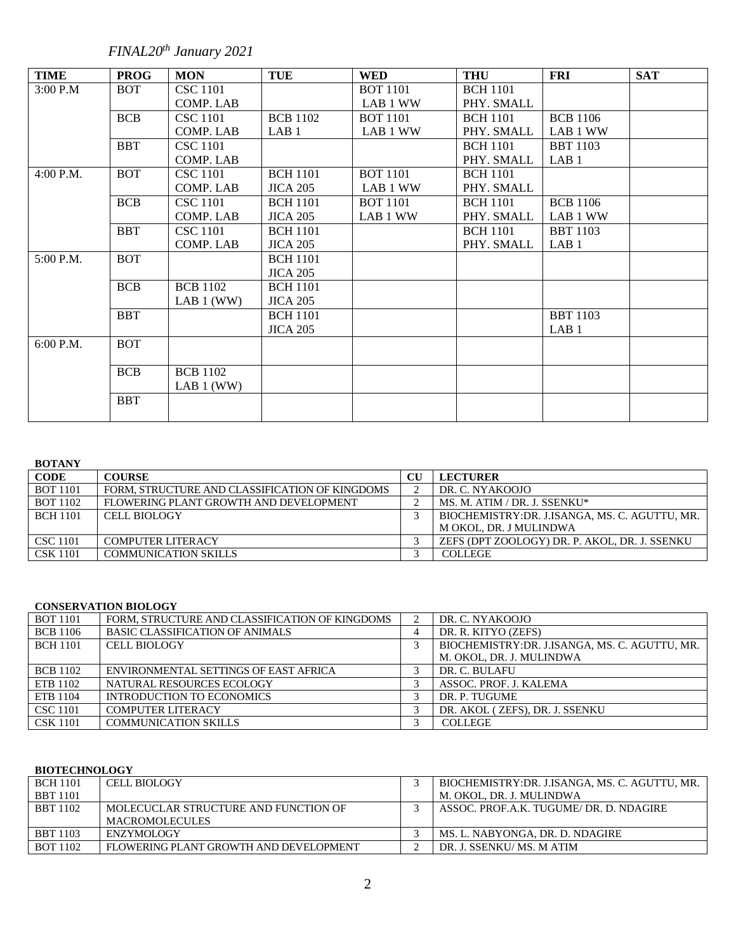*FINAL20th January 2021*

| <b>TIME</b> | <b>PROG</b> | <b>MON</b>      | <b>TUE</b>       | <b>WED</b>      | <b>THU</b>      | <b>FRI</b>       | <b>SAT</b> |
|-------------|-------------|-----------------|------------------|-----------------|-----------------|------------------|------------|
| 3:00 P.M    | <b>BOT</b>  | <b>CSC</b> 1101 |                  | <b>BOT</b> 1101 | <b>BCH</b> 1101 |                  |            |
|             |             | COMP. LAB       |                  | LAB 1 WW        | PHY. SMALL      |                  |            |
|             | <b>BCB</b>  | <b>CSC</b> 1101 | <b>BCB</b> 1102  | <b>BOT 1101</b> | <b>BCH</b> 1101 | <b>BCB</b> 1106  |            |
|             |             | COMP. LAB       | LAB <sub>1</sub> | LAB 1 WW        | PHY. SMALL      | LAB 1 WW         |            |
|             | <b>BBT</b>  | <b>CSC</b> 1101 |                  |                 | <b>BCH</b> 1101 | <b>BBT</b> 1103  |            |
|             |             | COMP. LAB       |                  |                 | PHY. SMALL      | LAB <sub>1</sub> |            |
| 4:00 P.M.   | <b>BOT</b>  | <b>CSC</b> 1101 | <b>BCH 1101</b>  | <b>BOT 1101</b> | <b>BCH</b> 1101 |                  |            |
|             |             | COMP. LAB       | <b>JICA 205</b>  | LAB 1 WW        | PHY. SMALL      |                  |            |
|             | <b>BCB</b>  | <b>CSC</b> 1101 | <b>BCH</b> 1101  | <b>BOT 1101</b> | <b>BCH</b> 1101 | <b>BCB</b> 1106  |            |
|             |             | COMP. LAB       | <b>JICA 205</b>  | LAB 1 WW        | PHY. SMALL      | LAB 1 WW         |            |
|             | <b>BBT</b>  | <b>CSC</b> 1101 | <b>BCH</b> 1101  |                 | <b>BCH 1101</b> | <b>BBT</b> 1103  |            |
|             |             | COMP. LAB       | <b>JICA 205</b>  |                 | PHY. SMALL      | LAB <sub>1</sub> |            |
| 5:00 P.M.   | <b>BOT</b>  |                 | <b>BCH</b> 1101  |                 |                 |                  |            |
|             |             |                 | <b>JICA 205</b>  |                 |                 |                  |            |
|             | <b>BCB</b>  | <b>BCB</b> 1102 | <b>BCH</b> 1101  |                 |                 |                  |            |
|             |             | LAB 1 (WW)      | <b>JICA 205</b>  |                 |                 |                  |            |
|             | <b>BBT</b>  |                 | <b>BCH</b> 1101  |                 |                 | <b>BBT</b> 1103  |            |
|             |             |                 | <b>JICA 205</b>  |                 |                 | LAB <sub>1</sub> |            |
| $6:00$ P.M. | <b>BOT</b>  |                 |                  |                 |                 |                  |            |
|             |             |                 |                  |                 |                 |                  |            |
|             | <b>BCB</b>  | <b>BCB</b> 1102 |                  |                 |                 |                  |            |
|             |             | LAB 1 (WW)      |                  |                 |                 |                  |            |
|             | <b>BBT</b>  |                 |                  |                 |                 |                  |            |
|             |             |                 |                  |                 |                 |                  |            |

## **BOTANY**

| <b>CODE</b>     | <b>COURSE</b>                                  | $\rm{CU}$ | <b>LECTURER</b>                               |
|-----------------|------------------------------------------------|-----------|-----------------------------------------------|
| <b>BOT 1101</b> | FORM. STRUCTURE AND CLASSIFICATION OF KINGDOMS |           | DR. C. NYAKOOJO                               |
| <b>BOT 1102</b> | FLOWERING PLANT GROWTH AND DEVELOPMENT         |           | MS. M. ATIM / DR. J. SSENKU*                  |
| <b>BCH 1101</b> | <b>CELL BIOLOGY</b>                            |           | BIOCHEMISTRY:DR. J.ISANGA, MS. C. AGUTTU, MR. |
|                 |                                                |           | M OKOL, DR. J MULINDWA                        |
| <b>CSC 1101</b> | <b>COMPUTER LITERACY</b>                       |           | ZEFS (DPT ZOOLOGY) DR. P. AKOL, DR. J. SSENKU |
| <b>CSK 1101</b> | <b>COMMUNICATION SKILLS</b>                    |           | <b>COLLEGE</b>                                |

#### **CONSERVATION BIOLOGY**

| <b>BOT</b> 1101 | FORM, STRUCTURE AND CLASSIFICATION OF KINGDOMS | DR. C. NYAKOOJO                               |
|-----------------|------------------------------------------------|-----------------------------------------------|
| <b>BCB</b> 1106 | <b>BASIC CLASSIFICATION OF ANIMALS</b>         | DR. R. KITYO (ZEFS)                           |
| <b>BCH 1101</b> | <b>CELL BIOLOGY</b>                            | BIOCHEMISTRY:DR. J.ISANGA, MS. C. AGUTTU, MR. |
|                 |                                                | M. OKOL, DR. J. MULINDWA                      |
| <b>BCB</b> 1102 | ENVIRONMENTAL SETTINGS OF EAST AFRICA          | DR. C. BULAFU                                 |
| ETB 1102        | NATURAL RESOURCES ECOLOGY                      | ASSOC. PROF. J. KALEMA                        |
| ETB 1104        | INTRODUCTION TO ECONOMICS                      | DR. P. TUGUME                                 |
| <b>CSC</b> 1101 | <b>COMPUTER LITERACY</b>                       | DR. AKOL (ZEFS), DR. J. SSENKU                |
| <b>CSK 1101</b> | <b>COMMUNICATION SKILLS</b>                    | <b>COLLEGE</b>                                |

## **BIOTECHNOLOGY**

| <b>BCH 1101</b> | <b>CELL BIOLOGY</b>                    | BIOCHEMISTRY:DR. J.ISANGA, MS. C. AGUTTU, MR. |
|-----------------|----------------------------------------|-----------------------------------------------|
| <b>BBT</b> 1101 |                                        | M. OKOL. DR. J. MULINDWA                      |
| <b>BBT</b> 1102 | MOLECUCLAR STRUCTURE AND FUNCTION OF   | ASSOC. PROF.A.K. TUGUME/ DR. D. NDAGIRE       |
|                 | <b>MACROMOLECULES</b>                  |                                               |
| <b>BBT 1103</b> | <b>ENZYMOLOGY</b>                      | MS. L. NABYONGA, DR. D. NDAGIRE               |
| <b>BOT 1102</b> | FLOWERING PLANT GROWTH AND DEVELOPMENT | DR. J. SSENKU/MS. M ATIM                      |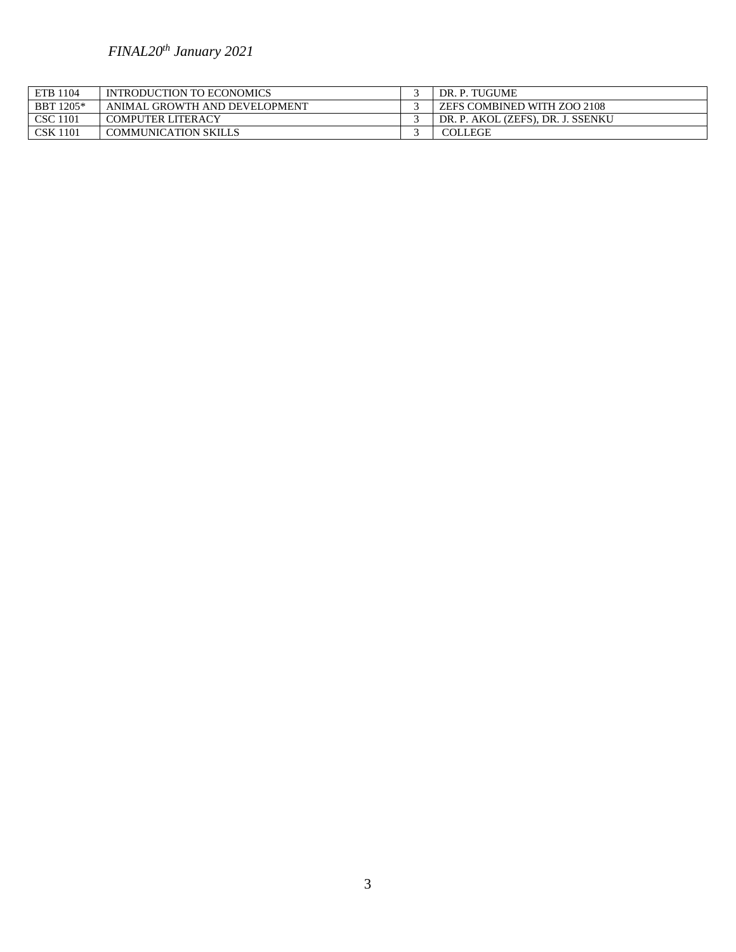# *FINAL20th January 2021*

| ETB 1104        | INTRODUCTION TO ECONOMICS     | DR. P. TUGUME                     |
|-----------------|-------------------------------|-----------------------------------|
| BBT 1205*       | ANIMAL GROWTH AND DEVELOPMENT | ZEFS COMBINED WITH ZOO 2108       |
| <b>CSC 1101</b> | <b>COMPUTER LITERACY</b>      | DR. P. AKOL (ZEFS), DR. J. SSENKU |
| <b>CSK 1101</b> | <b>COMMUNICATION SKILLS</b>   | <b>COLLEGE</b>                    |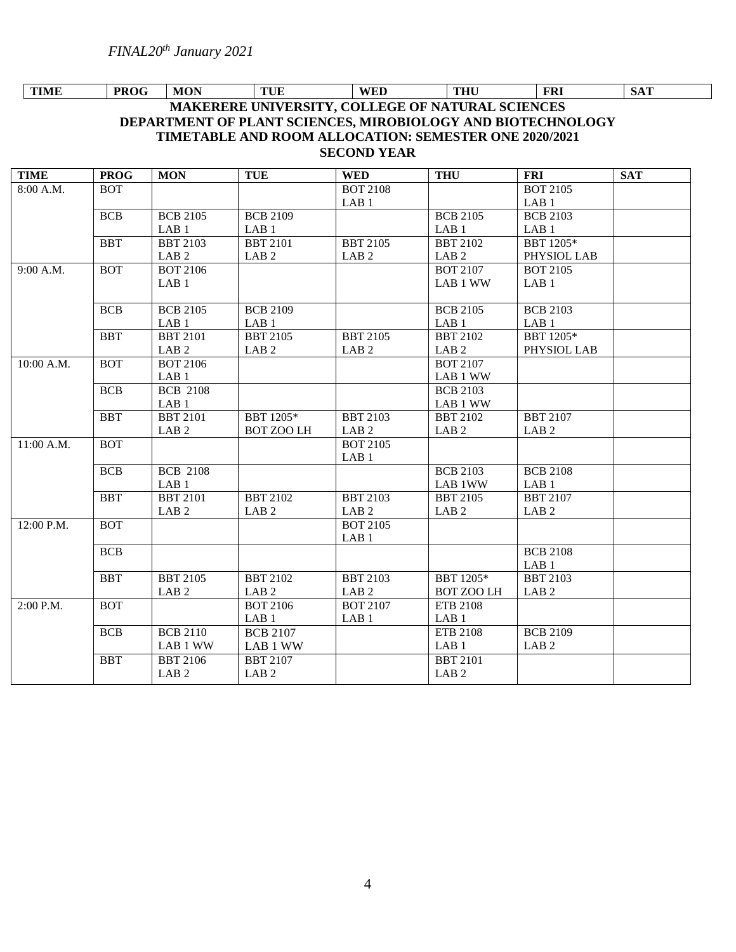## **MAKERERE UNIVERSITY, COLLEGE OF NATURAL SCIENCES DEPARTMENT OF PLANT SCIENCES, MIROBIOLOGY AND BIOTECHNOLOGY TIMETABLE AND ROOM ALLOCATION: SEMESTER ONE 2020/2021 SECOND YEAR TIME PROG MON TUE WED THU FRI SAT**

| <b>TIME</b> | <b>PROG</b> | <b>MON</b>       | <b>TUE</b>        | <b>WED</b>       | <b>THU</b>        | <b>FRI</b>       | <b>SAT</b> |
|-------------|-------------|------------------|-------------------|------------------|-------------------|------------------|------------|
| 8:00 A.M.   | <b>BOT</b>  |                  |                   | <b>BOT 2108</b>  |                   | <b>BOT 2105</b>  |            |
|             |             |                  |                   | LAB <sub>1</sub> |                   | LAB <sub>1</sub> |            |
|             | <b>BCB</b>  | <b>BCB 2105</b>  | <b>BCB 2109</b>   |                  | <b>BCB 2105</b>   | <b>BCB 2103</b>  |            |
|             |             | LAB <sub>1</sub> | LAB <sub>1</sub>  |                  | LAB <sub>1</sub>  | LAB <sub>1</sub> |            |
|             | <b>BBT</b>  | <b>BBT 2103</b>  | <b>BBT 2101</b>   | <b>BBT 2105</b>  | <b>BBT 2102</b>   | BBT 1205*        |            |
|             |             | LAB <sub>2</sub> | LAB <sub>2</sub>  | LAB <sub>2</sub> | LAB <sub>2</sub>  | PHYSIOL LAB      |            |
| 9:00 A.M.   | <b>BOT</b>  | <b>BOT 2106</b>  |                   |                  | <b>BOT 2107</b>   | <b>BOT 2105</b>  |            |
|             |             | LAB <sub>1</sub> |                   |                  | LAB 1 WW          | LAB <sub>1</sub> |            |
|             |             |                  |                   |                  |                   |                  |            |
|             | <b>BCB</b>  | <b>BCB 2105</b>  | <b>BCB 2109</b>   |                  | <b>BCB 2105</b>   | <b>BCB 2103</b>  |            |
|             |             | LAB <sub>1</sub> | LAB <sub>1</sub>  |                  | LAB <sub>1</sub>  | LAB <sub>1</sub> |            |
|             | <b>BBT</b>  | <b>BBT 2101</b>  | <b>BBT 2105</b>   | <b>BBT 2105</b>  | <b>BBT 2102</b>   | BBT 1205*        |            |
|             |             | LAB <sub>2</sub> | LAB <sub>2</sub>  | LAB <sub>2</sub> | LAB <sub>2</sub>  | PHYSIOL LAB      |            |
| 10:00 A.M.  | <b>BOT</b>  | <b>BOT 2106</b>  |                   |                  | <b>BOT 2107</b>   |                  |            |
|             |             | LAB <sub>1</sub> |                   |                  | LAB 1 WW          |                  |            |
|             | <b>BCB</b>  | <b>BCB 2108</b>  |                   |                  | <b>BCB 2103</b>   |                  |            |
|             |             | LAB <sub>1</sub> |                   |                  | LAB 1 WW          |                  |            |
|             | <b>BBT</b>  | <b>BBT 2101</b>  | BBT 1205*         | <b>BBT 2103</b>  | <b>BBT 2102</b>   | <b>BBT 2107</b>  |            |
|             |             | LAB <sub>2</sub> | <b>BOT ZOO LH</b> | LAB <sub>2</sub> | LAB <sub>2</sub>  | LAB <sub>2</sub> |            |
| 11:00 A.M.  | <b>BOT</b>  |                  |                   | <b>BOT 2105</b>  |                   |                  |            |
|             |             |                  |                   | LAB <sub>1</sub> |                   |                  |            |
|             | <b>BCB</b>  | <b>BCB 2108</b>  |                   |                  | <b>BCB 2103</b>   | <b>BCB 2108</b>  |            |
|             |             | LAB <sub>1</sub> |                   |                  | LAB 1WW           | LAB <sub>1</sub> |            |
|             | <b>BBT</b>  | <b>BBT 2101</b>  | <b>BBT 2102</b>   | <b>BBT 2103</b>  | <b>BBT 2105</b>   | <b>BBT 2107</b>  |            |
|             |             | LAB <sub>2</sub> | LAB <sub>2</sub>  | LAB <sub>2</sub> | LAB <sub>2</sub>  | LAB <sub>2</sub> |            |
| 12:00 P.M.  | <b>BOT</b>  |                  |                   | <b>BOT 2105</b>  |                   |                  |            |
|             |             |                  |                   | LAB <sub>1</sub> |                   |                  |            |
|             | <b>BCB</b>  |                  |                   |                  |                   | <b>BCB 2108</b>  |            |
|             |             |                  |                   |                  |                   | LAB <sub>1</sub> |            |
|             | <b>BBT</b>  | <b>BBT 2105</b>  | <b>BBT 2102</b>   | <b>BBT 2103</b>  | BBT 1205*         | <b>BBT 2103</b>  |            |
|             |             | LAB <sub>2</sub> | LAB <sub>2</sub>  | LAB <sub>2</sub> | <b>BOT ZOO LH</b> | LAB <sub>2</sub> |            |
| 2:00 P.M.   | <b>BOT</b>  |                  | <b>BOT 2106</b>   | <b>BOT 2107</b>  | ETB 2108          |                  |            |
|             |             |                  | LAB <sub>1</sub>  | LAB <sub>1</sub> | LAB <sub>1</sub>  |                  |            |
|             | <b>BCB</b>  | <b>BCB 2110</b>  | <b>BCB 2107</b>   |                  | ETB 2108          | <b>BCB 2109</b>  |            |
|             |             | LAB 1 WW         | LAB 1 WW          |                  | LAB <sub>1</sub>  | LAB <sub>2</sub> |            |
|             | <b>BBT</b>  | <b>BBT 2106</b>  | <b>BBT 2107</b>   |                  | <b>BBT 2101</b>   |                  |            |
|             |             | LAB <sub>2</sub> | LAB <sub>2</sub>  |                  | LAB <sub>2</sub>  |                  |            |
|             |             |                  |                   |                  |                   |                  |            |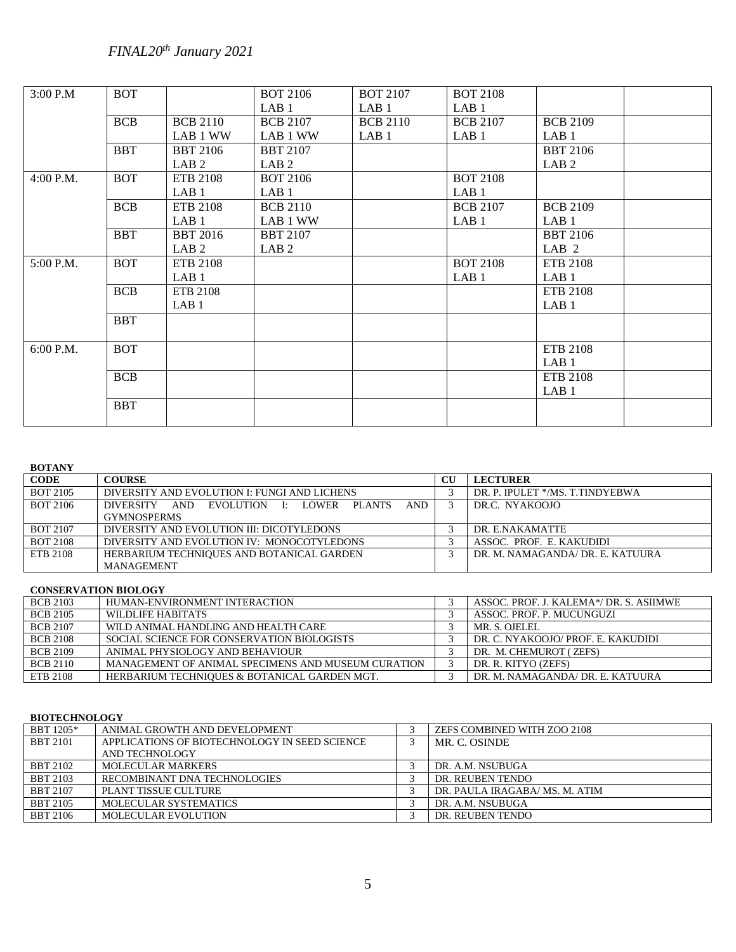*FINAL20th January 2021*

| 3:00 P.M  | <b>BOT</b> |                  | <b>BOT 2106</b>  | <b>BOT 2107</b>  | <b>BOT 2108</b>  |                  |
|-----------|------------|------------------|------------------|------------------|------------------|------------------|
|           |            |                  | LAB <sub>1</sub> | LAB <sub>1</sub> | LAB <sub>1</sub> |                  |
|           | <b>BCB</b> | <b>BCB 2110</b>  | <b>BCB 2107</b>  | <b>BCB 2110</b>  | <b>BCB 2107</b>  | <b>BCB 2109</b>  |
|           |            | LAB 1 WW         | LAB 1 WW         | LAB <sub>1</sub> | LAB <sub>1</sub> | LAB <sub>1</sub> |
|           | <b>BBT</b> | <b>BBT 2106</b>  | <b>BBT 2107</b>  |                  |                  | <b>BBT 2106</b>  |
|           |            | LAB <sub>2</sub> | LAB <sub>2</sub> |                  |                  | LAB <sub>2</sub> |
| 4:00 P.M. | <b>BOT</b> | ETB 2108         | <b>BOT 2106</b>  |                  | <b>BOT 2108</b>  |                  |
|           |            | LAB <sub>1</sub> | LAB <sub>1</sub> |                  | LAB <sub>1</sub> |                  |
|           | <b>BCB</b> | ETB 2108         | <b>BCB 2110</b>  |                  | <b>BCB 2107</b>  | <b>BCB 2109</b>  |
|           |            | LAB <sub>1</sub> | LAB 1 WW         |                  | LAB <sub>1</sub> | LAB <sub>1</sub> |
|           | <b>BBT</b> | <b>BBT 2016</b>  | <b>BBT 2107</b>  |                  |                  | <b>BBT 2106</b>  |
|           |            | LAB <sub>2</sub> | LAB <sub>2</sub> |                  |                  | LAB <sub>2</sub> |
| 5:00 P.M. | <b>BOT</b> | ETB 2108         |                  |                  | <b>BOT 2108</b>  | ETB 2108         |
|           |            | LAB <sub>1</sub> |                  |                  | LAB <sub>1</sub> | LAB <sub>1</sub> |
|           | <b>BCB</b> | ETB 2108         |                  |                  |                  | ETB 2108         |
|           |            | LAB <sub>1</sub> |                  |                  |                  | LAB <sub>1</sub> |
|           | <b>BBT</b> |                  |                  |                  |                  |                  |
|           |            |                  |                  |                  |                  |                  |
| 6:00 P.M. | <b>BOT</b> |                  |                  |                  |                  | ETB 2108         |
|           |            |                  |                  |                  |                  | LAB <sub>1</sub> |
|           | <b>BCB</b> |                  |                  |                  |                  | ETB 2108         |
|           |            |                  |                  |                  |                  | LAB <sub>1</sub> |
|           | <b>BBT</b> |                  |                  |                  |                  |                  |
|           |            |                  |                  |                  |                  |                  |
|           |            |                  |                  |                  |                  |                  |

## **BOTANY**

| <b>CODE</b>     | <b>COURSE</b>                                                           | $\mathbf{C}\mathbf{U}$ | <b>LECTURER</b>                  |
|-----------------|-------------------------------------------------------------------------|------------------------|----------------------------------|
| <b>BOT 2105</b> | DIVERSITY AND EVOLUTION I: FUNGI AND LICHENS                            |                        | DR. P. IPULET */MS. T.TINDYEBWA  |
| BOT 2106        | AND -<br>AND<br>EVOLUTION I: LOWER<br><b>PLANTS</b><br><b>DIVERSITY</b> |                        | DR.C. NYAKOOJO                   |
|                 | <b>GYMNOSPERMS</b>                                                      |                        |                                  |
| <b>BOT 2107</b> | DIVERSITY AND EVOLUTION III: DICOTYLEDONS                               |                        | DR. E.NAKAMATTE                  |
| <b>BOT 2108</b> | DIVERSITY AND EVOLUTION IV: MONOCOTYLEDONS                              |                        | ASSOC. PROF. E. KAKUDIDI         |
| ETB 2108        | HERBARIUM TECHNIQUES AND BOTANICAL GARDEN                               |                        | DR. M. NAMAGANDA/ DR. E. KATUURA |
|                 | <b>MANAGEMENT</b>                                                       |                        |                                  |

## **CONSERVATION BIOLOGY**

| <b>BCB 2103</b> | HUMAN-ENVIRONMENT INTERACTION                      | ASSOC. PROF. J. KALEMA*/ DR. S. ASIIMWE |
|-----------------|----------------------------------------------------|-----------------------------------------|
| <b>BCB 2105</b> | WILDLIFE HABITATS                                  | ASSOC. PROF. P. MUCUNGUZI               |
| <b>BCB 2107</b> | WILD ANIMAL HANDLING AND HEALTH CARE               | MR. S. OJELEL                           |
| <b>BCB 2108</b> | SOCIAL SCIENCE FOR CONSERVATION BIOLOGISTS         | DR. C. NYAKOOJO/ PROF. E. KAKUDIDI      |
| <b>BCB 2109</b> | ANIMAL PHYSIOLOGY AND BEHAVIOUR                    | DR. M. CHEMUROT (ZEFS)                  |
| <b>BCB 2110</b> | MANAGEMENT OF ANIMAL SPECIMENS AND MUSEUM CURATION | DR. R. KITYO (ZEFS)                     |
| ETB 2108        | HERBARIUM TECHNIQUES & BOTANICAL GARDEN MGT.       | DR. M. NAMAGANDA/ DR. E. KATUURA        |

## **BIOTECHNOLOGY**

| BBT 1205*       | ANIMAL GROWTH AND DEVELOPMENT                 | ZEFS COMBINED WITH ZOO 2108    |
|-----------------|-----------------------------------------------|--------------------------------|
| <b>BBT 2101</b> | APPLICATIONS OF BIOTECHNOLOGY IN SEED SCIENCE | MR. C. OSINDE                  |
|                 | AND TECHNOLOGY                                |                                |
| <b>BBT 2102</b> | <b>MOLECULAR MARKERS</b>                      | DR. A.M. NSUBUGA               |
| <b>BBT 2103</b> | RECOMBINANT DNA TECHNOLOGIES                  | DR. REUBEN TENDO               |
| <b>BBT 2107</b> | PLANT TISSUE CULTURE                          | DR. PAULA IRAGABA/ MS. M. ATIM |
| <b>BBT 2105</b> | MOLECULAR SYSTEMATICS                         | DR. A.M. NSUBUGA               |
| <b>BBT 2106</b> | MOLECULAR EVOLUTION                           | DR. REUBEN TENDO               |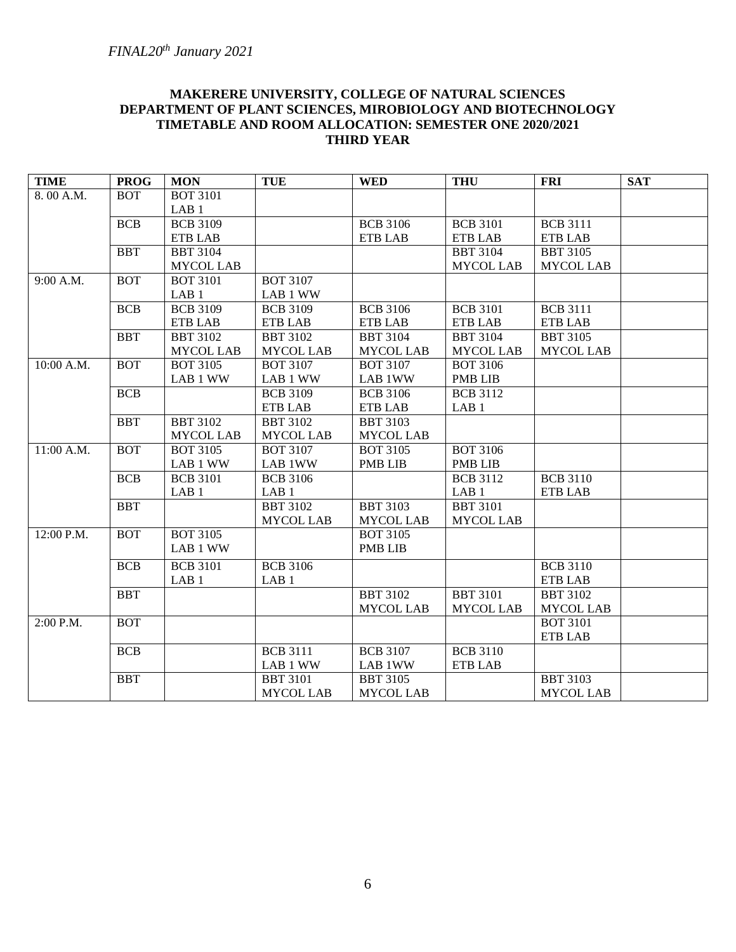## **MAKERERE UNIVERSITY, COLLEGE OF NATURAL SCIENCES DEPARTMENT OF PLANT SCIENCES, MIROBIOLOGY AND BIOTECHNOLOGY TIMETABLE AND ROOM ALLOCATION: SEMESTER ONE 2020/2021 THIRD YEAR**

| <b>TIME</b> | <b>PROG</b> | <b>MON</b>       | <b>TUE</b>       | <b>WED</b>       | <b>THU</b>       | <b>FRI</b>       | <b>SAT</b> |
|-------------|-------------|------------------|------------------|------------------|------------------|------------------|------------|
| 8.00 A.M.   | <b>BOT</b>  | <b>BOT 3101</b>  |                  |                  |                  |                  |            |
|             |             | LAB <sub>1</sub> |                  |                  |                  |                  |            |
|             | <b>BCB</b>  | <b>BCB 3109</b>  |                  | <b>BCB 3106</b>  | <b>BCB 3101</b>  | <b>BCB 3111</b>  |            |
|             |             | <b>ETB LAB</b>   |                  | <b>ETB LAB</b>   | <b>ETB LAB</b>   | <b>ETB LAB</b>   |            |
|             | <b>BBT</b>  | <b>BBT 3104</b>  |                  |                  | <b>BBT 3104</b>  | <b>BBT 3105</b>  |            |
|             |             | <b>MYCOL LAB</b> |                  |                  | <b>MYCOL LAB</b> | MYCOL LAB        |            |
| 9:00 A.M.   | <b>BOT</b>  | <b>BOT 3101</b>  | <b>BOT 3107</b>  |                  |                  |                  |            |
|             |             | LAB <sub>1</sub> | LAB 1 WW         |                  |                  |                  |            |
|             | <b>BCB</b>  | <b>BCB 3109</b>  | <b>BCB 3109</b>  | <b>BCB 3106</b>  | <b>BCB 3101</b>  | <b>BCB 3111</b>  |            |
|             |             | <b>ETB LAB</b>   | <b>ETB LAB</b>   | <b>ETB LAB</b>   | <b>ETB LAB</b>   | <b>ETB LAB</b>   |            |
|             | <b>BBT</b>  | <b>BBT 3102</b>  | <b>BBT 3102</b>  | <b>BBT 3104</b>  | <b>BBT 3104</b>  | <b>BBT 3105</b>  |            |
|             |             | <b>MYCOL LAB</b> | <b>MYCOL LAB</b> | <b>MYCOL LAB</b> | <b>MYCOL LAB</b> | <b>MYCOL LAB</b> |            |
| 10:00 A.M.  | <b>BOT</b>  | <b>BOT 3105</b>  | <b>BOT 3107</b>  | <b>BOT 3107</b>  | <b>BOT 3106</b>  |                  |            |
|             |             | LAB 1 WW         | LAB 1 WW         | LAB 1WW          | <b>PMB LIB</b>   |                  |            |
|             | <b>BCB</b>  |                  | <b>BCB 3109</b>  | <b>BCB 3106</b>  | <b>BCB</b> 3112  |                  |            |
|             |             |                  | <b>ETB LAB</b>   | <b>ETB LAB</b>   | LAB <sub>1</sub> |                  |            |
|             | <b>BBT</b>  | <b>BBT 3102</b>  | <b>BBT 3102</b>  | <b>BBT 3103</b>  |                  |                  |            |
|             |             | <b>MYCOL LAB</b> | <b>MYCOL LAB</b> | <b>MYCOL LAB</b> |                  |                  |            |
| 11:00 A.M.  | <b>BOT</b>  | <b>BOT 3105</b>  | <b>BOT 3107</b>  | <b>BOT 3105</b>  | <b>BOT 3106</b>  |                  |            |
|             |             | LAB 1 WW         | LAB 1WW          | <b>PMB LIB</b>   | <b>PMB LIB</b>   |                  |            |
|             | <b>BCB</b>  | <b>BCB 3101</b>  | <b>BCB 3106</b>  |                  | <b>BCB 3112</b>  | <b>BCB 3110</b>  |            |
|             |             | LAB <sub>1</sub> | LAB <sub>1</sub> |                  | LAB <sub>1</sub> | <b>ETB LAB</b>   |            |
|             | <b>BBT</b>  |                  | <b>BBT 3102</b>  | <b>BBT 3103</b>  | <b>BBT 3101</b>  |                  |            |
|             |             |                  | <b>MYCOL LAB</b> | <b>MYCOL LAB</b> | <b>MYCOL LAB</b> |                  |            |
| 12:00 P.M.  | <b>BOT</b>  | <b>BOT 3105</b>  |                  | <b>BOT 3105</b>  |                  |                  |            |
|             |             | LAB 1 WW         |                  | <b>PMB LIB</b>   |                  |                  |            |
|             | <b>BCB</b>  | <b>BCB</b> 3101  | <b>BCB 3106</b>  |                  |                  | <b>BCB 3110</b>  |            |
|             |             | LAB <sub>1</sub> | LAB <sub>1</sub> |                  |                  | <b>ETB LAB</b>   |            |
|             | <b>BBT</b>  |                  |                  | <b>BBT 3102</b>  | <b>BBT 3101</b>  | <b>BBT 3102</b>  |            |
|             |             |                  |                  | <b>MYCOL LAB</b> | <b>MYCOL LAB</b> | <b>MYCOL LAB</b> |            |
| 2:00 P.M.   | <b>BOT</b>  |                  |                  |                  |                  | <b>BOT 3101</b>  |            |
|             |             |                  |                  |                  |                  | <b>ETB LAB</b>   |            |
|             | <b>BCB</b>  |                  | <b>BCB 3111</b>  | <b>BCB 3107</b>  | <b>BCB 3110</b>  |                  |            |
|             |             |                  | LAB 1 WW         | LAB 1WW          | <b>ETB LAB</b>   |                  |            |
|             | <b>BBT</b>  |                  | <b>BBT 3101</b>  | <b>BBT 3105</b>  |                  | <b>BBT 3103</b>  |            |
|             |             |                  | <b>MYCOL LAB</b> | <b>MYCOL LAB</b> |                  | <b>MYCOL LAB</b> |            |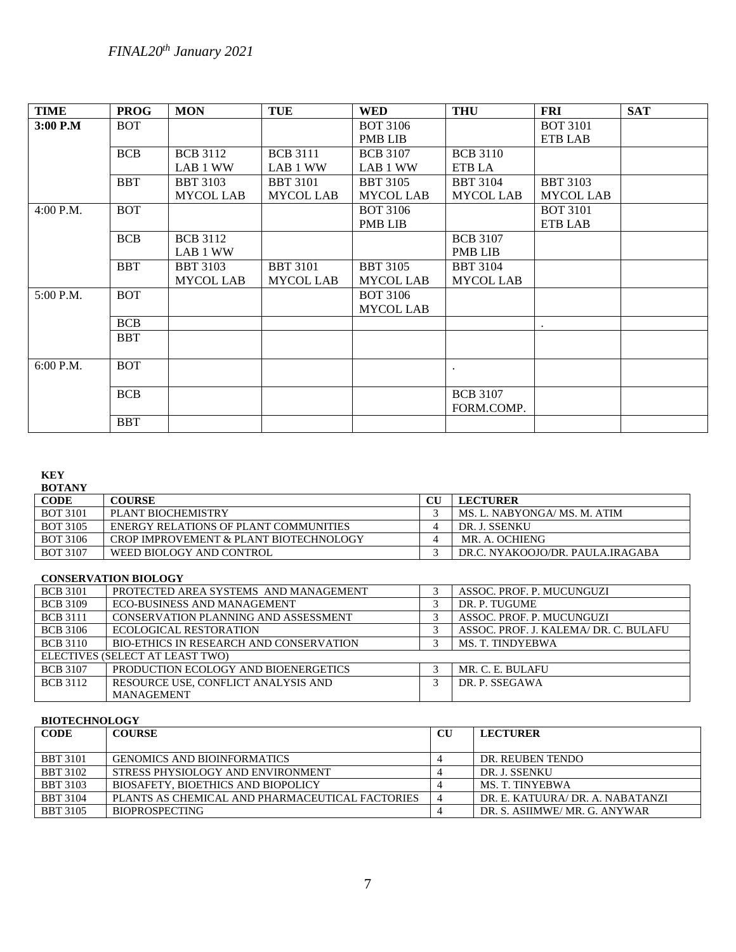# *FINAL20th January 2021*

| <b>TIME</b> | <b>PROG</b> | <b>MON</b>       | <b>TUE</b>       | <b>WED</b>       | <b>THU</b>       | <b>FRI</b>       | <b>SAT</b> |
|-------------|-------------|------------------|------------------|------------------|------------------|------------------|------------|
| $3:00$ P.M  | <b>BOT</b>  |                  |                  | <b>BOT 3106</b>  |                  | <b>BOT 3101</b>  |            |
|             |             |                  |                  | <b>PMB LIB</b>   |                  | ETB LAB          |            |
|             | <b>BCB</b>  | <b>BCB 3112</b>  | <b>BCB 3111</b>  | <b>BCB</b> 3107  | <b>BCB 3110</b>  |                  |            |
|             |             | LAB 1 WW         | LAB 1 WW         | LAB 1 WW         | ETB LA           |                  |            |
|             | <b>BBT</b>  | <b>BBT 3103</b>  | <b>BBT 3101</b>  | <b>BBT 3105</b>  | <b>BBT 3104</b>  | <b>BBT 3103</b>  |            |
|             |             | <b>MYCOL LAB</b> | <b>MYCOL LAB</b> | <b>MYCOL LAB</b> | <b>MYCOL LAB</b> | <b>MYCOL LAB</b> |            |
| 4:00 P.M.   | <b>BOT</b>  |                  |                  | <b>BOT 3106</b>  |                  | <b>BOT 3101</b>  |            |
|             |             |                  |                  | <b>PMB LIB</b>   |                  | ETB LAB          |            |
|             | <b>BCB</b>  | <b>BCB</b> 3112  |                  |                  | <b>BCB</b> 3107  |                  |            |
|             |             | LAB 1 WW         |                  |                  | <b>PMB LIB</b>   |                  |            |
|             | <b>BBT</b>  | <b>BBT 3103</b>  | <b>BBT 3101</b>  | <b>BBT 3105</b>  | <b>BBT 3104</b>  |                  |            |
|             |             | <b>MYCOL LAB</b> | <b>MYCOL LAB</b> | <b>MYCOL LAB</b> | <b>MYCOL LAB</b> |                  |            |
| 5:00 P.M.   | <b>BOT</b>  |                  |                  | <b>BOT 3106</b>  |                  |                  |            |
|             |             |                  |                  | <b>MYCOL LAB</b> |                  |                  |            |
|             | <b>BCB</b>  |                  |                  |                  |                  |                  |            |
|             | <b>BBT</b>  |                  |                  |                  |                  |                  |            |
|             |             |                  |                  |                  |                  |                  |            |
| 6:00 P.M.   | <b>BOT</b>  |                  |                  |                  |                  |                  |            |
|             |             |                  |                  |                  |                  |                  |            |
|             | <b>BCB</b>  |                  |                  |                  | <b>BCB</b> 3107  |                  |            |
|             |             |                  |                  |                  | FORM.COMP.       |                  |            |
|             | <b>BBT</b>  |                  |                  |                  |                  |                  |            |

### **KEY**

### **BOTANY**

| .               |                                        |  |                                  |  |
|-----------------|----------------------------------------|--|----------------------------------|--|
| <b>CODE</b>     | <b>COURSE</b>                          |  | <b>LECTURER</b>                  |  |
| <b>BOT 3101</b> | PLANT BIOCHEMISTRY                     |  | MS. L. NABYONGA/MS. M. ATIM      |  |
| <b>BOT 3105</b> | ENERGY RELATIONS OF PLANT COMMUNITIES  |  | DR. J. SSENKU                    |  |
| BOT 3106        | CROP IMPROVEMENT & PLANT BIOTECHNOLOGY |  | MR. A. OCHIENG                   |  |
| <b>BOT 3107</b> | WEED BIOLOGY AND CONTROL               |  | DR.C. NYAKOOJO/DR. PAULA.IRAGABA |  |

## **CONSERVATION BIOLOGY**

| <b>BCB</b> 3101                 | PROTECTED AREA SYSTEMS AND MANAGEMENT          |  | ASSOC. PROF. P. MUCUNGUZI             |  |
|---------------------------------|------------------------------------------------|--|---------------------------------------|--|
| <b>BCB</b> 3109                 | <b>ECO-BUSINESS AND MANAGEMENT</b>             |  | DR. P. TUGUME                         |  |
| <b>BCB</b> 3111                 | CONSERVATION PLANNING AND ASSESSMENT           |  | ASSOC. PROF. P. MUCUNGUZI             |  |
| <b>BCB</b> 3106                 | ECOLOGICAL RESTORATION                         |  | ASSOC. PROF. J. KALEMA/ DR. C. BULAFU |  |
| <b>BCB</b> 3110                 | <b>BIO-ETHICS IN RESEARCH AND CONSERVATION</b> |  | <b>MS. T. TINDYEBWA</b>               |  |
| ELECTIVES (SELECT AT LEAST TWO) |                                                |  |                                       |  |
| <b>BCB 3107</b>                 | PRODUCTION ECOLOGY AND BIOENERGETICS           |  | MR. C. E. BULAFU                      |  |
| <b>BCB</b> 3112                 | RESOURCE USE, CONFLICT ANALYSIS AND            |  | DR. P. SSEGAWA                        |  |
|                                 | <b>MANAGEMENT</b>                              |  |                                       |  |

## **BIOTECHNOLOGY**

| <b>CODE</b>     | <b>COURSE</b>                                   |  | <b>LECTURER</b>                  |  |
|-----------------|-------------------------------------------------|--|----------------------------------|--|
|                 |                                                 |  |                                  |  |
| <b>BBT</b> 3101 | <b>GENOMICS AND BIOINFORMATICS</b>              |  | DR. REUBEN TENDO                 |  |
| <b>BBT 3102</b> | STRESS PHYSIOLOGY AND ENVIRONMENT               |  | DR. J. SSENKU                    |  |
| <b>BBT</b> 3103 | <b>BIOSAFETY, BIOETHICS AND BIOPOLICY</b>       |  | MS. T. TINYEBWA                  |  |
| <b>BBT 3104</b> | PLANTS AS CHEMICAL AND PHARMACEUTICAL FACTORIES |  | DR. E. KATUURA/ DR. A. NABATANZI |  |
| <b>BBT 3105</b> | <b>BIOPROSPECTING</b>                           |  | DR. S. ASIIMWE/MR. G. ANYWAR     |  |